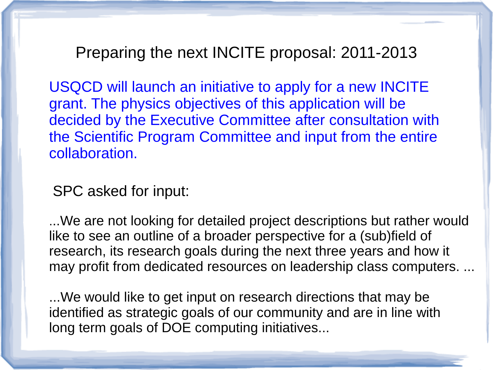Preparing the next INCITE proposal: 2011-2013

USQCD will launch an initiative to apply for a new INCITE grant. The physics objectives of this application will be decided by the Executive Committee after consultation with the Scientific Program Committee and input from the entire collaboration.

SPC asked for input:

...We are not looking for detailed project descriptions but rather would like to see an outline of a broader perspective for a (sub)field of research, its research goals during the next three years and how it may profit from dedicated resources on leadership class computers. ...

...We would like to get input on research directions that may be identified as strategic goals of our community and are in line with long term goals of DOE computing initiatives...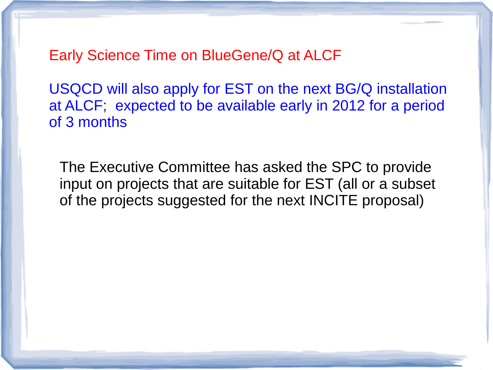Early Science Time on BlueGene/Q at ALCF

USQCD will also apply for EST on the next BG/Q installation at ALCF; expected to be available early in 2012 for a period of 3 months

The Executive Committee has asked the SPC to provide input on projects that are suitable for EST (all or a subset of the projects suggested for the next INCITE proposal)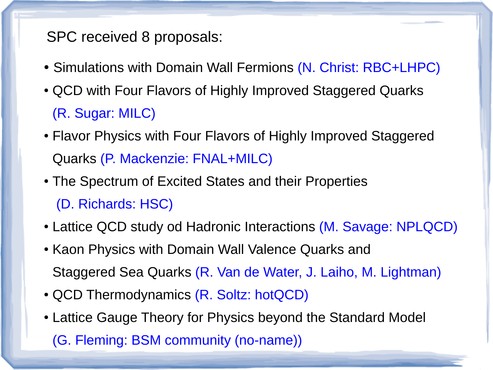SPC received 8 proposals:

- Simulations with Domain Wall Fermions (N. Christ: RBC+LHPC)
- QCD with Four Flavors of Highly Improved Staggered Quarks (R. Sugar: MILC)
- Flavor Physics with Four Flavors of Highly Improved Staggered Quarks (P. Mackenzie: FNAL+MILC)
- The Spectrum of Excited States and their Properties (D. Richards: HSC)
- Lattice QCD study od Hadronic Interactions (M. Savage: NPLQCD)
- Kaon Physics with Domain Wall Valence Quarks and Staggered Sea Quarks (R. Van de Water, J. Laiho, M. Lightman)
- QCD Thermodynamics (R. Soltz: hotQCD)
- Lattice Gauge Theory for Physics beyond the Standard Model (G. Fleming: BSM community (no-name))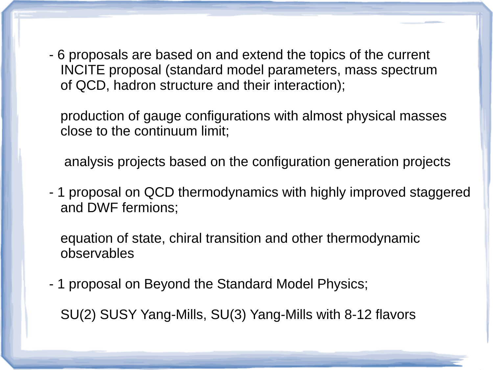- 6 proposals are based on and extend the topics of the current INCITE proposal (standard model parameters, mass spectrum of QCD, hadron structure and their interaction);

 production of gauge configurations with almost physical masses close to the continuum limit;

analysis projects based on the configuration generation projects

- 1 proposal on QCD thermodynamics with highly improved staggered and DWF fermions;

 equation of state, chiral transition and other thermodynamic observables

- 1 proposal on Beyond the Standard Model Physics;

SU(2) SUSY Yang-Mills, SU(3) Yang-Mills with 8-12 flavors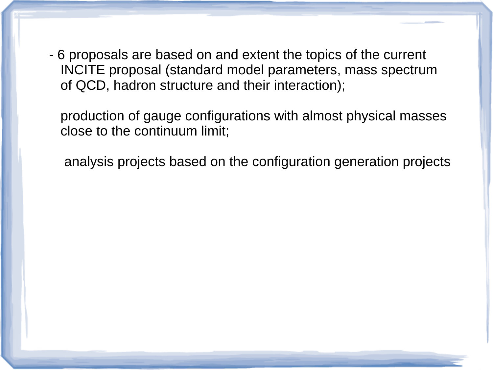- 6 proposals are based on and extent the topics of the current INCITE proposal (standard model parameters, mass spectrum of QCD, hadron structure and their interaction);

 production of gauge configurations with almost physical masses close to the continuum limit;

analysis projects based on the configuration generation projects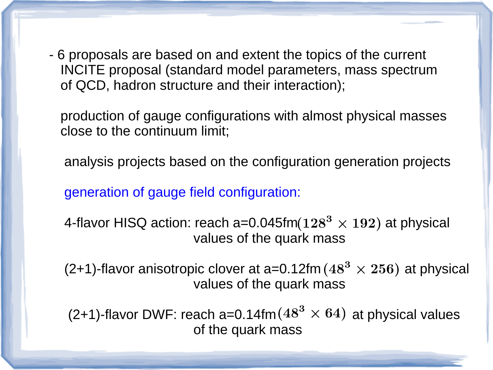- 6 proposals are based on and extent the topics of the current INCITE proposal (standard model parameters, mass spectrum of QCD, hadron structure and their interaction);

 production of gauge configurations with almost physical masses close to the continuum limit;

analysis projects based on the configuration generation projects

generation of gauge field configuration:

4-flavor HISQ action: reach a=0.045fm  $(128^3 \times 192)$  at physical values of the quark mass

(2+1)-flavor anisotropic clover at a=0.12fm ( $48^3 \times 256$ ) at physical values of the quark mass

(2+1)-flavor DWF: reach a=0.14fm  $(48^3 \times 64)$  at physical values of the quark mass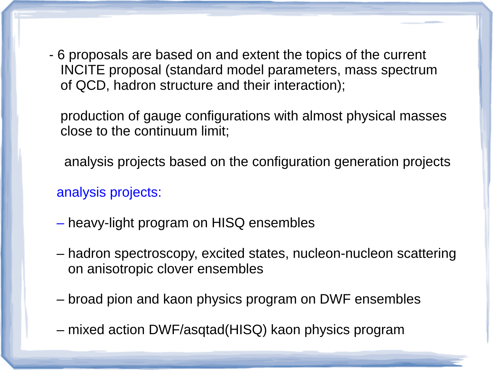- 6 proposals are based on and extent the topics of the current INCITE proposal (standard model parameters, mass spectrum of QCD, hadron structure and their interaction);

 production of gauge configurations with almost physical masses close to the continuum limit;

analysis projects based on the configuration generation projects

analysis projects:

- heavy-light program on HISQ ensembles
- hadron spectroscopy, excited states, nucleon-nucleon scattering on anisotropic clover ensembles
- broad pion and kaon physics program on DWF ensembles
- mixed action DWF/asqtad(HISQ) kaon physics program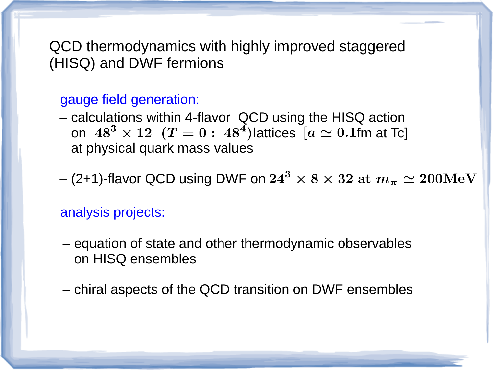# QCD thermodynamics with highly improved staggered (HISQ) and DWF fermions

### gauge field generation:

- calculations within 4-flavor QCD using the HISQ action on  $48^3 \times 12$   $(T = 0: 48^4)$  lattices  $[a \simeq 0.1$ fm at Tc at physical quark mass values
- (2+1)-flavor QCD using DWF on  $24^3 \times 8 \times 32$  at  $m_\pi \simeq 200 \mathrm{MeV}$

#### analysis projects:

- equation of state and other thermodynamic observables on HISQ ensembles
- chiral aspects of the QCD transition on DWF ensembles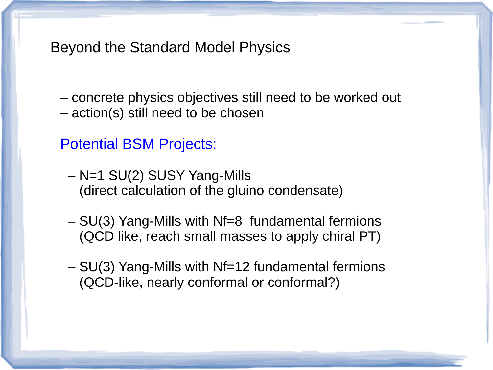Beyond the Standard Model Physics

- concrete physics objectives still need to be worked out
- action(s) still need to be chosen

# Potential BSM Projects:

- N=1 SU(2) SUSY Yang-Mills (direct calculation of the gluino condensate)
- SU(3) Yang-Mills with Nf=8 fundamental fermions (QCD like, reach small masses to apply chiral PT)
- SU(3) Yang-Mills with Nf=12 fundamental fermions (QCD-like, nearly conformal or conformal?)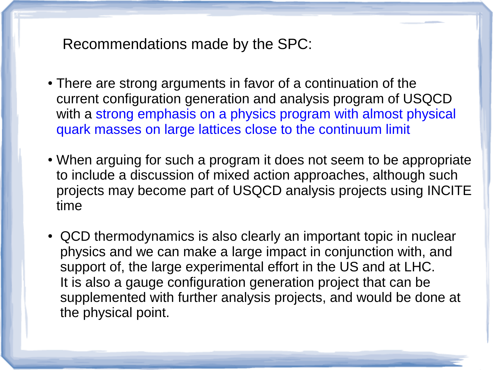Recommendations made by the SPC:

- There are strong arguments in favor of a continuation of the current configuration generation and analysis program of USQCD with a strong emphasis on a physics program with almost physical quark masses on large lattices close to the continuum limit
- When arguing for such a program it does not seem to be appropriate to include a discussion of mixed action approaches, although such projects may become part of USQCD analysis projects using INCITE time
- QCD thermodynamics is also clearly an important topic in nuclear physics and we can make a large impact in conjunction with, and support of, the large experimental effort in the US and at LHC. It is also a gauge configuration generation project that can be supplemented with further analysis projects, and would be done at the physical point.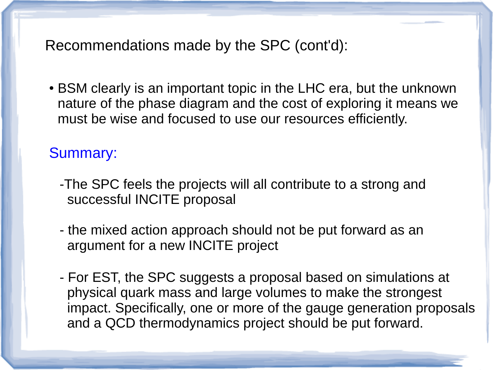Recommendations made by the SPC (cont'd):

• BSM clearly is an important topic in the LHC era, but the unknown nature of the phase diagram and the cost of exploring it means we must be wise and focused to use our resources efficiently.

# Summary:

- -The SPC feels the projects will all contribute to a strong and successful INCITE proposal
- the mixed action approach should not be put forward as an argument for a new INCITE project
- For EST, the SPC suggests a proposal based on simulations at physical quark mass and large volumes to make the strongest impact. Specifically, one or more of the gauge generation proposals and a QCD thermodynamics project should be put forward.